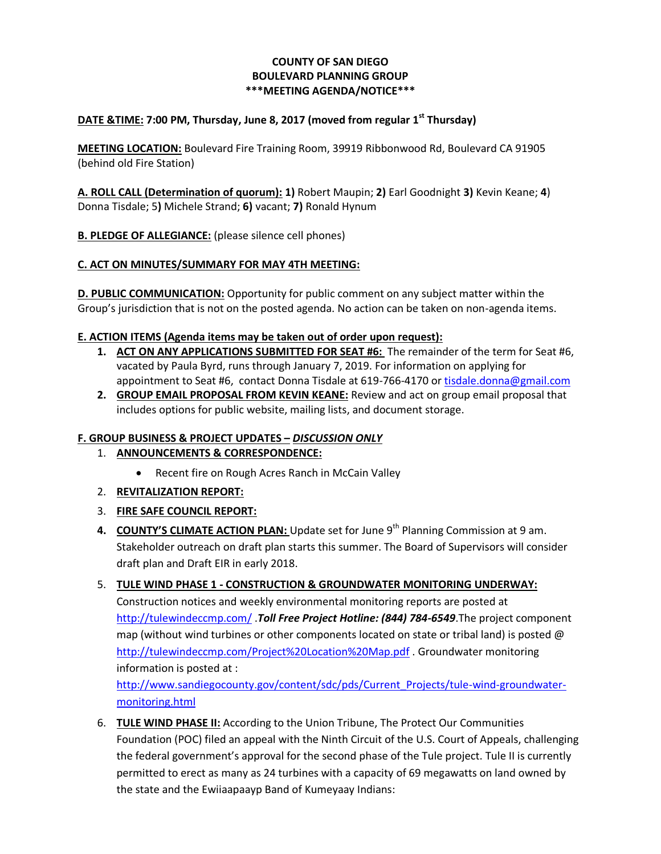### **COUNTY OF SAN DIEGO BOULEVARD PLANNING GROUP \*\*\*MEETING AGENDA/NOTICE\*\*\***

# **DATE &TIME: 7:00 PM, Thursday, June 8, 2017 (moved from regular 1st Thursday)**

**MEETING LOCATION:** Boulevard Fire Training Room, 39919 Ribbonwood Rd, Boulevard CA 91905 (behind old Fire Station)

**A. ROLL CALL (Determination of quorum): 1)** Robert Maupin; **2)** Earl Goodnight **3)** Kevin Keane; **4**) Donna Tisdale; 5**)** Michele Strand; **6)** vacant; **7)** Ronald Hynum

**B. PLEDGE OF ALLEGIANCE:** (please silence cell phones)

### **C. ACT ON MINUTES/SUMMARY FOR MAY 4TH MEETING:**

**D. PUBLIC COMMUNICATION:** Opportunity for public comment on any subject matter within the Group's jurisdiction that is not on the posted agenda. No action can be taken on non-agenda items.

#### **E. ACTION ITEMS (Agenda items may be taken out of order upon request):**

- **1. ACT ON ANY APPLICATIONS SUBMITTED FOR SEAT #6:** The remainder of the term for Seat #6, vacated by Paula Byrd, runs through January 7, 2019. For information on applying for appointment to Seat #6, contact Donna Tisdale at 619-766-4170 o[r tisdale.donna@gmail.com](mailto:tisdale.donna@gmail.com)
- **2. GROUP EMAIL PROPOSAL FROM KEVIN KEANE:** Review and act on group email proposal that includes options for public website, mailing lists, and document storage.

# **F. GROUP BUSINESS & PROJECT UPDATES –** *DISCUSSION ONLY*

- 1. **ANNOUNCEMENTS & CORRESPONDENCE:**
	- Recent fire on Rough Acres Ranch in McCain Valley
- 2. **REVITALIZATION REPORT:**
- 3. **FIRE SAFE COUNCIL REPORT:**
- **4. COUNTY'S CLIMATE ACTION PLAN:** Update set for June 9<sup>th</sup> Planning Commission at 9 am. Stakeholder outreach on draft plan starts this summer. The Board of Supervisors will consider draft plan and Draft EIR in early 2018.
- 5. **TULE WIND PHASE 1 - CONSTRUCTION & GROUNDWATER MONITORING UNDERWAY:**

Construction notices and weekly environmental monitoring reports are posted at <http://tulewindeccmp.com/> .*Toll Free Project Hotline: (844) 784-6549*.The project component map (without wind turbines or other components located on state or tribal land) is posted  $\omega$ <http://tulewindeccmp.com/Project%20Location%20Map.pdf> . Groundwater monitoring information is posted at :

[http://www.sandiegocounty.gov/content/sdc/pds/Current\\_Projects/tule-wind-groundwater](http://www.sandiegocounty.gov/content/sdc/pds/Current_Projects/tule-wind-groundwater-monitoring.html)[monitoring.html](http://www.sandiegocounty.gov/content/sdc/pds/Current_Projects/tule-wind-groundwater-monitoring.html)

6. **TULE WIND PHASE II:** According to the Union Tribune, The [Protect Our Communities](https://protectourcommunities.org/)  [Foundation](https://protectourcommunities.org/) (POC) filed an appeal with the Ninth Circuit of the U.S. Court of Appeals, challenging the federal government's approval for the second phase of the Tule project. Tule II is currently permitted to erect as many as 24 turbines with a capacity of 69 megawatts on land owned by the state and the [Ewiiaapaayp Band of Kumeyaay Indians:](https://en.wikipedia.org/wiki/Ewiiaapaayp_Band_of_Kumeyaay_Indians)